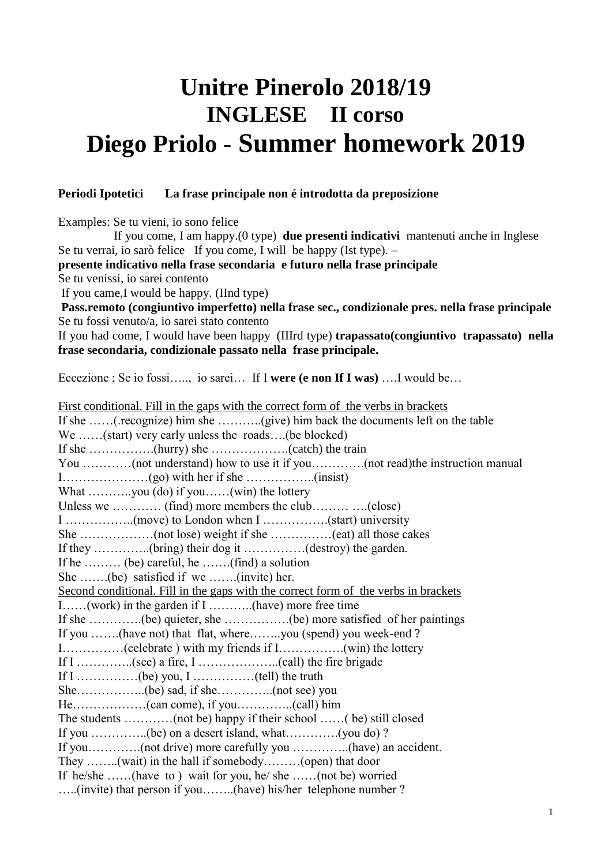# **Unitre Pinerolo 2018/19 INGLESE II corso Diego Priolo - Summer homework 2019**

### **Periodi Ipotetici La frase principale non é introdotta da preposizione**

Examples: Se tu vieni, io sono felice

 If you come, I am happy.(0 type) **due presenti indicativi** mantenuti anche in Inglese Se tu verrai, io sarò felice If you come, I will be happy (Ist type). –

**presente indicativo nella frase secondaria e futuro nella frase principale**

Se tu venissi, io sarei contento

If you came,I would be happy. (IInd type)

**Pass.remoto (congiuntivo imperfetto) nella frase sec., condizionale pres. nella frase principale** Se tu fossi venuto/a, io sarei stato contento

If you had come, I would have been happy (IIIrd type) **trapassato(congiuntivo trapassato) nella frase secondaria, condizionale passato nella frase principale.**

Eccezione ; Se io fossi….., io sarei… If I **were (e non If I was)** ….I would be…

| First conditional. Fill in the gaps with the correct form of the verbs in brackets                         |
|------------------------------------------------------------------------------------------------------------|
| If she (recognize) him she (give) him back the documents left on the table                                 |
| We (start) very early unless the roads(be blocked)                                                         |
|                                                                                                            |
| You (not understand) how to use it if you (not read) the instruction manual                                |
|                                                                                                            |
| What you (do) if you(win) the lottery                                                                      |
| Unless we $\ldots$ (find) more members the club $\ldots$ (close)                                           |
|                                                                                                            |
|                                                                                                            |
| If they (bring) their dog it (destroy) the garden.                                                         |
| If he  (be) careful, he (find) a solution                                                                  |
| She (be) satisfied if we (invite) her.                                                                     |
| Second conditional. Fill in the gaps with the correct form of the verbs in brackets                        |
| I(work) in the garden if I (have) more free time                                                           |
|                                                                                                            |
| If you (have not) that flat, whereyou (spend) you week-end ?                                               |
|                                                                                                            |
|                                                                                                            |
|                                                                                                            |
|                                                                                                            |
|                                                                                                            |
|                                                                                                            |
| If you $\dots\dots\dots\dots\dots(be)$ on a desert island, what $\dots\dots\dots\dots\dots\dots$ (you do)? |
| If you(not drive) more carefully you (have) an accident.                                                   |
| They (wait) in the hall if somebody(open) that door                                                        |
| If he/she (have to) wait for you, he/she (not be) worried                                                  |
| (invite) that person if you(have) his/her telephone number ?                                               |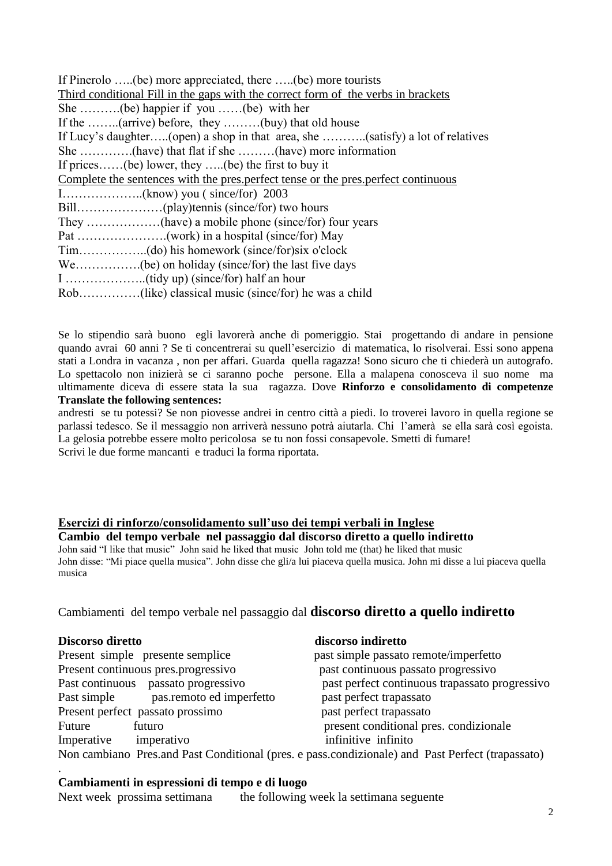| If Pinerolo (be) more appreciated, there (be) more tourists                       |
|-----------------------------------------------------------------------------------|
| Third conditional Fill in the gaps with the correct form of the verbs in brackets |
|                                                                                   |
| If the (arrive) before, they (buy) that old house                                 |
| If Lucy's daughter(open) a shop in that area, she (satisfy) a lot of relatives    |
| She (have) that flat if she (have) more information                               |
| If prices(be) lower, they (be) the first to buy it                                |
| Complete the sentences with the pres.perfect tense or the pres.perfect continuous |
|                                                                                   |
|                                                                                   |
|                                                                                   |
|                                                                                   |
|                                                                                   |
|                                                                                   |
|                                                                                   |
|                                                                                   |

Se lo stipendio sarà buono egli lavorerà anche di pomeriggio. Stai progettando di andare in pensione quando avrai 60 anni ? Se ti concentrerai su quell'esercizio di matematica, lo risolverai. Essi sono appena stati a Londra in vacanza , non per affari. Guarda quella ragazza! Sono sicuro che ti chiederà un autografo. Lo spettacolo non inizierà se ci saranno poche persone. Ella a malapena conosceva il suo nome ma ultimamente diceva di essere stata la sua ragazza. Dove **Rinforzo e consolidamento di competenze Translate the following sentences:**

andresti se tu potessi? Se non piovesse andrei in centro città a piedi. Io troverei lavoro in quella regione se parlassi tedesco. Se il messaggio non arriverà nessuno potrà aiutarla. Chi l'amerà se ella sarà così egoista. La gelosia potrebbe essere molto pericolosa se tu non fossi consapevole. Smetti di fumare! Scrivi le due forme mancanti e traduci la forma riportata.

### **Esercizi di rinforzo/consolidamento sull'uso dei tempi verbali in Inglese**

## **Cambio del tempo verbale nel passaggio dal discorso diretto a quello indiretto**

John said "I like that music" John said he liked that music John told me (that) he liked that music John disse: "Mi piace quella musica". John disse che gli/a lui piaceva quella musica. John mi disse a lui piaceva quella musica

Cambiamenti del tempo verbale nel passaggio dal **discorso diretto a quello indiretto**

.

#### **Discorso diretto discorso indiretto**

|             | Present simple presente semplice    | past simple passato remote/imperfetto                                                            |
|-------------|-------------------------------------|--------------------------------------------------------------------------------------------------|
|             | Present continuous pres.progressivo | past continuous passato progressivo                                                              |
|             | Past continuous passato progressivo | past perfect continuous trapassato progressivo                                                   |
| Past simple | pas.remoto ed imperfetto            | past perfect trapassato                                                                          |
|             | Present perfect passato prossimo    | past perfect trapassato                                                                          |
| Future      | futuro                              | present conditional pres. condizionale                                                           |
| Imperative  | imperativo                          | infinitive infinito                                                                              |
|             |                                     | Non cambiano Pres.and Past Conditional (pres. e pass.condizionale) and Past Perfect (trapassato) |

#### **Cambiamenti in espressioni di tempo e di luogo**

Next week prossima settimana the following week la settimana seguente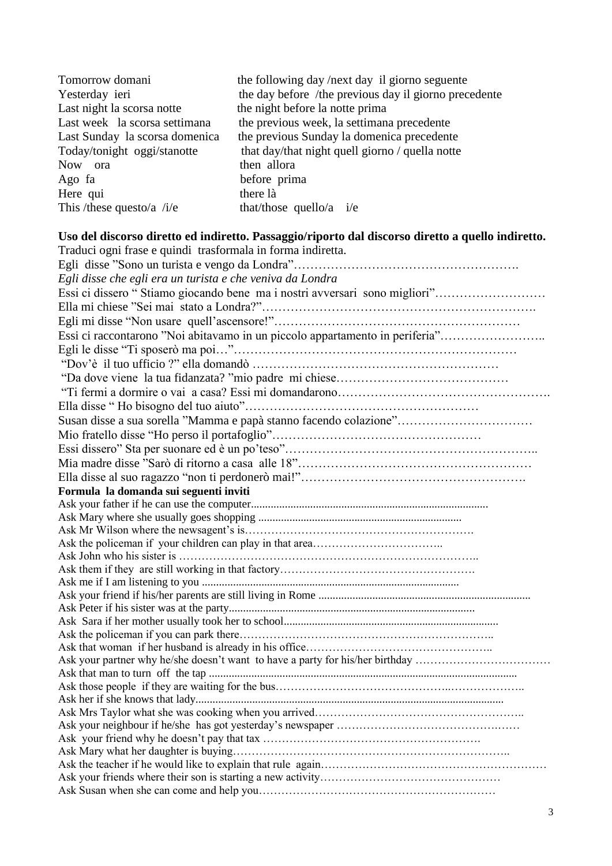| the following day /next day il giorno seguente        |
|-------------------------------------------------------|
| the day before /the previous day il giorno precedente |
| the night before la notte prima                       |
| the previous week, la settimana precedente            |
| the previous Sunday la domenica precedente            |
| that day/that night quell giorno / quella notte       |
| then allora                                           |
| before prima                                          |
| there là                                              |
| that/those quello/a $i/e$                             |
|                                                       |

**Uso del discorso diretto ed indiretto. Passaggio/riporto dal discorso diretto a quello indiretto.**

| Traduci ogni frase e quindi trasformala in forma indiretta.                   |
|-------------------------------------------------------------------------------|
|                                                                               |
| Egli disse che egli era un turista e che veniva da Londra                     |
| Essi ci dissero "Stiamo giocando bene ma i nostri avversari sono migliori"    |
|                                                                               |
|                                                                               |
| Essi ci raccontarono "Noi abitavamo in un piccolo appartamento in periferia"  |
|                                                                               |
|                                                                               |
|                                                                               |
|                                                                               |
|                                                                               |
| Susan disse a sua sorella "Mamma e papà stanno facendo colazione"             |
|                                                                               |
|                                                                               |
|                                                                               |
|                                                                               |
|                                                                               |
| Formula la domanda sui seguenti inviti                                        |
|                                                                               |
|                                                                               |
|                                                                               |
|                                                                               |
|                                                                               |
|                                                                               |
|                                                                               |
|                                                                               |
|                                                                               |
|                                                                               |
|                                                                               |
|                                                                               |
| Ask your partner why he/she doesn't want to have a party for his/her birthday |
|                                                                               |
|                                                                               |
|                                                                               |
|                                                                               |
|                                                                               |
|                                                                               |
|                                                                               |
|                                                                               |
|                                                                               |
|                                                                               |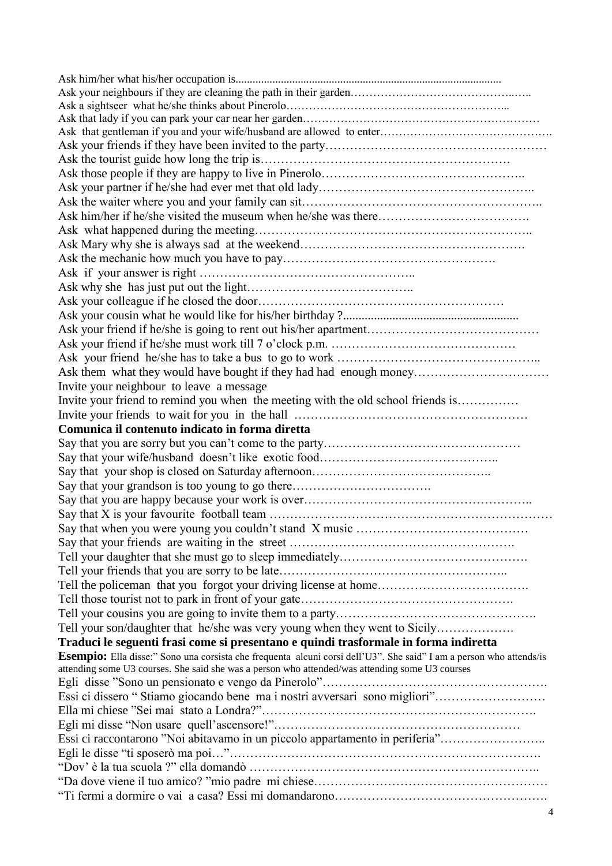| Ask them what they would have bought if they had had enough money                                                   |
|---------------------------------------------------------------------------------------------------------------------|
| Invite your neighbour to leave a message                                                                            |
| Invite your friend to remind you when the meeting with the old school friends is                                    |
|                                                                                                                     |
| Comunica il contenuto indicato in forma diretta                                                                     |
|                                                                                                                     |
|                                                                                                                     |
|                                                                                                                     |
|                                                                                                                     |
|                                                                                                                     |
| Say that your grandson is too young to go there                                                                     |
|                                                                                                                     |
|                                                                                                                     |
|                                                                                                                     |
|                                                                                                                     |
|                                                                                                                     |
|                                                                                                                     |
|                                                                                                                     |
|                                                                                                                     |
|                                                                                                                     |
| Tell your son/daughter that he/she was very young when they went to Sicily                                          |
| Traduci le seguenti frasi come si presentano e quindi trasformale in forma indiretta                                |
| Esempio: Ella disse:" Sono una corsista che frequenta alcuni corsi dell'U3". She said" I am a person who attends/is |
| attending some U3 courses. She said she was a person who attended/was attending some U3 courses                     |
|                                                                                                                     |
| Essi ci dissero "Stiamo giocando bene ma i nostri avversari sono migliori"                                          |
|                                                                                                                     |
|                                                                                                                     |
| Essi ci raccontarono "Noi abitavamo in un piccolo appartamento in periferia"                                        |
|                                                                                                                     |
|                                                                                                                     |
|                                                                                                                     |